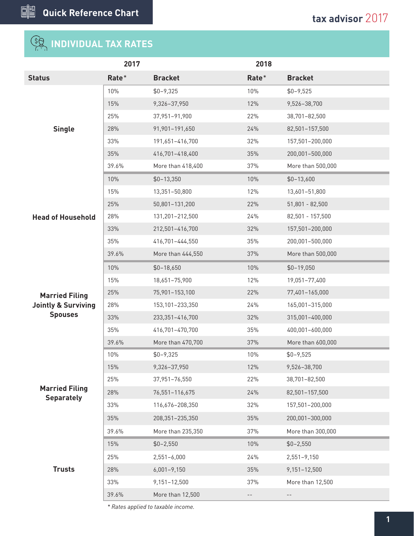## **INDIVIDUAL TAX RATES**

|                                                         | 2017  |                   | 2018  |                   |
|---------------------------------------------------------|-------|-------------------|-------|-------------------|
| <b>Status</b>                                           | Rate* | <b>Bracket</b>    | Rate* | <b>Bracket</b>    |
|                                                         | 10%   | $$0 - 9,325$      | 10%   | $$0 - 9,525$      |
|                                                         | 15%   | 9,326-37,950      | 12%   | 9,526-38,700      |
|                                                         | 25%   | 37,951-91,900     | 22%   | 38,701-82,500     |
| <b>Single</b>                                           | 28%   | 91,901-191,650    | 24%   | 82,501-157,500    |
|                                                         | 33%   | 191,651-416,700   | 32%   | 157,501-200,000   |
|                                                         | 35%   | 416,701-418,400   | 35%   | 200,001-500,000   |
|                                                         | 39.6% | More than 418,400 | 37%   | More than 500,000 |
|                                                         | 10%   | $$0-13,350$       | 10%   | $$0-13,600$       |
|                                                         | 15%   | 13,351-50,800     | 12%   | 13,601-51,800     |
|                                                         | 25%   | 50,801-131,200    | 22%   | $51,801 - 82,500$ |
| <b>Head of Household</b>                                | 28%   | 131,201-212,500   | 24%   | 82,501 - 157,500  |
|                                                         | 33%   | 212,501-416,700   | 32%   | 157,501-200,000   |
|                                                         | 35%   | 416,701-444,550   | 35%   | 200,001-500,000   |
|                                                         | 39.6% | More than 444,550 | 37%   | More than 500,000 |
| <b>Married Filing</b><br><b>Jointly &amp; Surviving</b> | 10%   | $$0-18,650$       | 10%   | $$0-19,050$       |
|                                                         | 15%   | 18,651-75,900     | 12%   | 19,051-77,400     |
|                                                         | 25%   | 75,901-153,100    | 22%   | 77,401-165,000    |
|                                                         | 28%   | 153,101-233,350   | 24%   | 165,001-315,000   |
| <b>Spouses</b>                                          | 33%   | 233,351-416,700   | 32%   | 315,001-400,000   |
|                                                         | 35%   | 416,701-470,700   | 35%   | 400,001-600,000   |
|                                                         | 39.6% | More than 470,700 | 37%   | More than 600,000 |
|                                                         | 10%   | $$0 - 9,325$      | 10%   | $$0 - 9,525$      |
|                                                         | 15%   | 9,326-37,950      | 12%   | 9,526-38,700      |
|                                                         | 25%   | 37,951-76,550     | 22%   | 38,701-82,500     |
| <b>Married Filing</b><br><b>Separately</b>              | 28%   | 76,551-116,675    | 24%   | 82,501-157,500    |
|                                                         | 33%   | 116,676-208,350   | 32%   | 157,501-200,000   |
|                                                         | 35%   | 208,351-235,350   | 35%   | 200,001-300,000   |
|                                                         | 39.6% | More than 235,350 | 37%   | More than 300,000 |
|                                                         | 15%   | $$0 - 2,550$      | 10%   | $$0 - 2,550$      |
|                                                         | 25%   | $2,551 - 6,000$   | 24%   | $2,551 - 9,150$   |
| <b>Trusts</b>                                           | 28%   | $6,001 - 9,150$   | 35%   | 9,151-12,500      |
|                                                         | 33%   | 9,151-12,500      | 37%   | More than 12,500  |
|                                                         | 39.6% | More than 12,500  |       |                   |
|                                                         |       |                   |       |                   |

*\* Rates applied to taxable income.*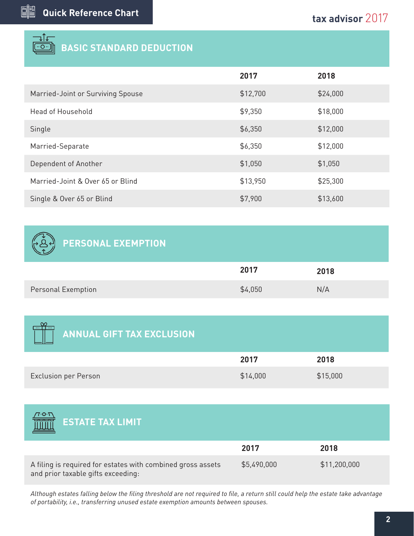| <b>BASIC STANDARD DEDUCTION</b>   |          |          |
|-----------------------------------|----------|----------|
|                                   | 2017     | 2018     |
| Married-Joint or Surviving Spouse | \$12,700 | \$24,000 |
| Head of Household                 | \$9,350  | \$18,000 |
| Single                            | \$6,350  | \$12,000 |
| Married-Separate                  | \$6,350  | \$12,000 |
| Dependent of Another              | \$1,050  | \$1,050  |
| Married-Joint & Over 65 or Blind  | \$13,950 | \$25,300 |
| Single & Over 65 or Blind         | \$7,900  | \$13,600 |

## **PERSONAL EXEMPTION**

 $7.0 \text{ N}$ 

|                           | 2017    | 2018 |
|---------------------------|---------|------|
| <b>Personal Exemption</b> | \$4,050 | N/A  |

| $\sim$ 0.00 $\pm$<br><b>ANNUAL GIFT TAX EXCLUSION</b> |          |          |
|-------------------------------------------------------|----------|----------|
|                                                       | 2017     | 2018     |
| <b>Exclusion per Person</b>                           | \$14,000 | \$15,000 |
|                                                       |          |          |

| <b>ESTATE TAX LIMIT</b>                                                                           |             |              |
|---------------------------------------------------------------------------------------------------|-------------|--------------|
|                                                                                                   | 2017        | 2018         |
| A filing is required for estates with combined gross assets<br>and prior taxable gifts exceeding: | \$5,490,000 | \$11,200,000 |

*Although estates falling below the filing threshold are not required to file, a return still could help the estate take advantage of portability, i.e., transferring unused estate exemption amounts between spouses.*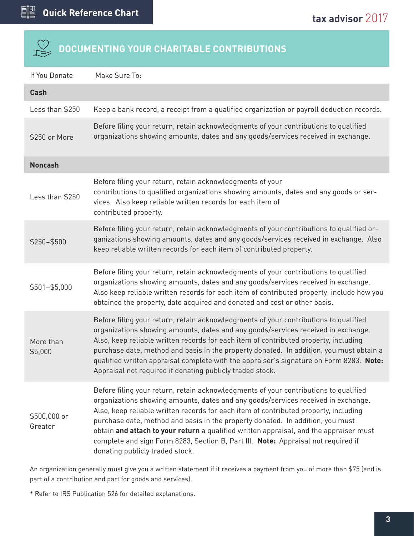# **DOCUMENTING YOUR CHARITABLE CONTRIBUTIONS**

| If You Donate           | Make Sure To:                                                                                                                                                                                                                                                                                                                                                                                                                                                                                                                                                         |
|-------------------------|-----------------------------------------------------------------------------------------------------------------------------------------------------------------------------------------------------------------------------------------------------------------------------------------------------------------------------------------------------------------------------------------------------------------------------------------------------------------------------------------------------------------------------------------------------------------------|
| <b>Cash</b>             |                                                                                                                                                                                                                                                                                                                                                                                                                                                                                                                                                                       |
| Less than \$250         | Keep a bank record, a receipt from a qualified organization or payroll deduction records.                                                                                                                                                                                                                                                                                                                                                                                                                                                                             |
| \$250 or More           | Before filing your return, retain acknowledgments of your contributions to qualified<br>organizations showing amounts, dates and any goods/services received in exchange.                                                                                                                                                                                                                                                                                                                                                                                             |
| <b>Noncash</b>          |                                                                                                                                                                                                                                                                                                                                                                                                                                                                                                                                                                       |
| Less than \$250         | Before filing your return, retain acknowledgments of your<br>contributions to qualified organizations showing amounts, dates and any goods or ser-<br>vices. Also keep reliable written records for each item of<br>contributed property.                                                                                                                                                                                                                                                                                                                             |
| \$250-\$500             | Before filing your return, retain acknowledgments of your contributions to qualified or-<br>ganizations showing amounts, dates and any goods/services received in exchange. Also<br>keep reliable written records for each item of contributed property.                                                                                                                                                                                                                                                                                                              |
| $$501 - $5,000$         | Before filing your return, retain acknowledgments of your contributions to qualified<br>organizations showing amounts, dates and any goods/services received in exchange.<br>Also keep reliable written records for each item of contributed property; include how you<br>obtained the property, date acquired and donated and cost or other basis.                                                                                                                                                                                                                   |
| More than<br>\$5,000    | Before filing your return, retain acknowledgments of your contributions to qualified<br>organizations showing amounts, dates and any goods/services received in exchange.<br>Also, keep reliable written records for each item of contributed property, including<br>purchase date, method and basis in the property donated. In addition, you must obtain a<br>qualified written appraisal complete with the appraiser's signature on Form 8283. Note:<br>Appraisal not required if donating publicly traded stock.                                                  |
| \$500,000 or<br>Greater | Before filing your return, retain acknowledgments of your contributions to qualified<br>organizations showing amounts, dates and any goods/services received in exchange.<br>Also, keep reliable written records for each item of contributed property, including<br>purchase date, method and basis in the property donated. In addition, you must<br>obtain and attach to your return a qualified written appraisal, and the appraiser must<br>complete and sign Form 8283, Section B, Part III. Note: Appraisal not required if<br>donating publicly traded stock. |

An organization generally must give you a written statement if it receives a payment from you of more than \$75 (and is part of a contribution and part for goods and services).

\* Refer to IRS Publication 526 for detailed explanations.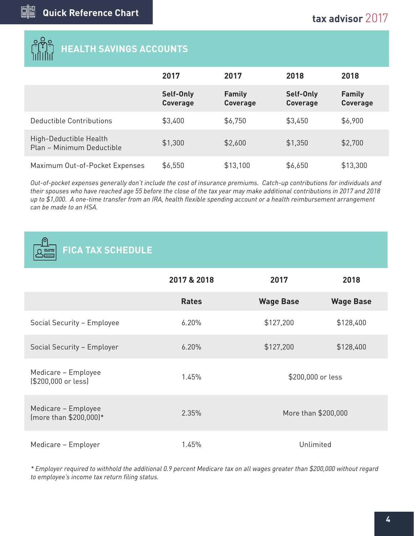# **HEALTH SAVINGS ACCOUNTS**

|                                                     | 2017                         | 2017                             | 2018                         | 2018                             |
|-----------------------------------------------------|------------------------------|----------------------------------|------------------------------|----------------------------------|
|                                                     | Self-Only<br><b>Coverage</b> | <b>Family</b><br><b>Coverage</b> | Self-Only<br><b>Coverage</b> | <b>Family</b><br><b>Coverage</b> |
| Deductible Contributions                            | \$3,400                      | \$6,750                          | \$3,450                      | \$6,900                          |
| High-Deductible Health<br>Plan - Minimum Deductible | \$1,300                      | \$2,600                          | \$1,350                      | \$2,700                          |
| Maximum Out-of-Pocket Expenses                      | \$6,550                      | \$13,100                         | \$6,650                      | \$13,300                         |

*Out-of-pocket expenses generally don't include the cost of insurance premiums. Catch-up contributions for individuals and their spouses who have reached age 55 before the close of the tax year may make additional contributions in 2017 and 2018 up to \$1,000. A one-time transfer from an IRA, health flexible spending account or a health reimbursement arrangement can be made to an HSA.*

| <b>FICA TAX SCHEDULE</b>                      |              |                     |                  |  |
|-----------------------------------------------|--------------|---------------------|------------------|--|
|                                               | 2017 & 2018  | 2017                | 2018             |  |
|                                               | <b>Rates</b> | <b>Wage Base</b>    | <b>Wage Base</b> |  |
| Social Security - Employee                    | 6.20%        | \$127,200           | \$128,400        |  |
| Social Security - Employer                    | 6.20%        | \$127,200           | \$128,400        |  |
| Medicare - Employee<br>(\$200,000 or less)    | 1.45%        | \$200,000 or less   |                  |  |
| Medicare - Employee<br>(more than \$200,000)* | 2.35%        | More than \$200,000 |                  |  |
| Medicare - Employer                           | 1.45%        | Unlimited           |                  |  |

*\* Employer required to withhold the additional 0.9 percent Medicare tax on all wages greater than \$200,000 without regard to employee's income tax return filing status.*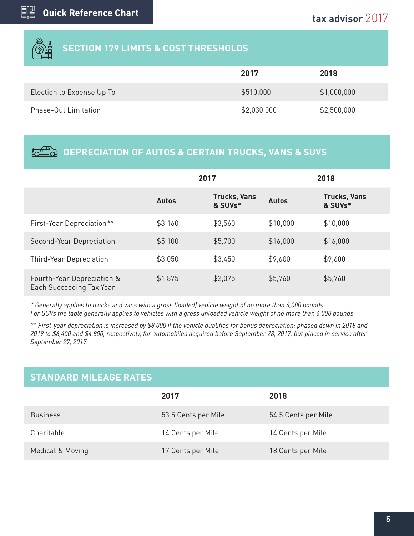

### **SECTION 179 LIMITS & COST THRESHOLDS**

|                             | 2017        | 2018        |
|-----------------------------|-------------|-------------|
| Election to Expense Up To   | \$510,000   | \$1,000,000 |
| <b>Phase-Out Limitation</b> | \$2,030,000 | \$2,500,000 |

### **DEPRECIATION OF AUTOS & CERTAIN TRUCKS, VANS & SUVS**

|                                                        | 2017         |                                |              | 2018                           |
|--------------------------------------------------------|--------------|--------------------------------|--------------|--------------------------------|
|                                                        | <b>Autos</b> | <b>Trucks, Vans</b><br>& SUVs* | <b>Autos</b> | <b>Trucks, Vans</b><br>& SUVs* |
| First-Year Depreciation**                              | \$3,160      | \$3,560                        | \$10,000     | \$10,000                       |
| Second-Year Depreciation                               | \$5,100      | \$5,700                        | \$16,000     | \$16,000                       |
| <b>Third-Year Depreciation</b>                         | \$3,050      | \$3,450                        | \$9,600      | \$9,600                        |
| Fourth-Year Depreciation &<br>Each Succeeding Tax Year | \$1,875      | \$2,075                        | \$5,760      | \$5,760                        |

*\* Generally applies to trucks and vans with a gross (loaded) vehicle weight of no more than 6,000 pounds. For SUVs the table generally applies to vehicles with a gross unloaded vehicle weight of no more than 6,000 pounds.*

*\*\* First-year depreciation is increased by \$8,000 if the vehicle qualifies for bonus depreciation; phased down in 2018 and 2019 to \$6,400 and \$4,800, respectively, for automobiles acquired before September 28, 2017, but placed in service after September 27, 2017.*

### **STANDARD MILEAGE RATES**

|                  | 2017                | 2018                |
|------------------|---------------------|---------------------|
| <b>Business</b>  | 53.5 Cents per Mile | 54.5 Cents per Mile |
| Charitable       | 14 Cents per Mile   | 14 Cents per Mile   |
| Medical & Moving | 17 Cents per Mile   | 18 Cents per Mile   |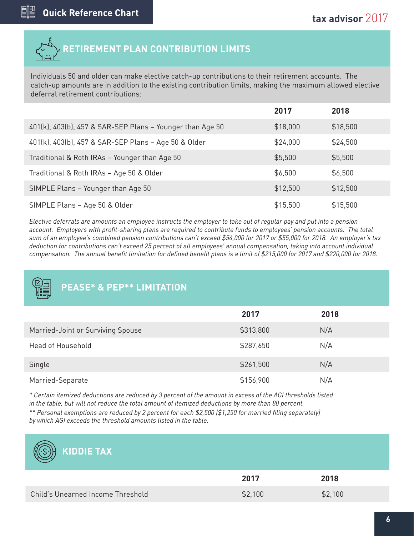

Individuals 50 and older can make elective catch-up contributions to their retirement accounts. The catch-up amounts are in addition to the existing contribution limits, making the maximum allowed elective deferral retirement contributions:

|                                                           | 2017     | 2018     |
|-----------------------------------------------------------|----------|----------|
| 401(k), 403(b), 457 & SAR-SEP Plans - Younger than Age 50 | \$18,000 | \$18,500 |
| 401(k), 403(b), 457 & SAR-SEP Plans - Age 50 & Older      | \$24,000 | \$24,500 |
| Traditional & Roth IRAs - Younger than Age 50             | \$5,500  | \$5,500  |
| Traditional & Roth IRAs - Age 50 & Older                  | \$6,500  | \$6,500  |
| SIMPLE Plans - Younger than Age 50                        | \$12,500 | \$12,500 |
| SIMPLE Plans - Age 50 & Older                             | \$15,500 | \$15,500 |

*Elective deferrals are amounts an employee instructs the employer to take out of regular pay and put into a pension account. Employers with profit-sharing plans are required to contribute funds to employees' pension accounts. The total sum of an employee's combined pension contributions can't exceed \$54,000 for 2017 or \$55,000 for 2018. An employer's tax deduction for contributions can't exceed 25 percent of all employees' annual compensation, taking into account individual compensation. The annual benefit limitation for defined benefit plans is a limit of \$215,000 for 2017 and \$220,000 for 2018.*

### **PEASE\* & PEP\*\* LIMITATION**

|                                   | 2017      | 2018 |
|-----------------------------------|-----------|------|
| Married-Joint or Surviving Spouse | \$313,800 | N/A  |
| <b>Head of Household</b>          | \$287,650 | N/A  |
| Single                            | \$261,500 | N/A  |
| Married-Separate                  | \$156,900 | N/A  |

*\* Certain itemized deductions are reduced by 3 percent of the amount in excess of the AGI thresholds listed in the table, but will not reduce the total amount of itemized deductions by more than 80 percent.*

*\*\* Personal exemptions are reduced by 2 percent for each \$2,500 (\$1,250 for married filing separately) by which AGI exceeds the threshold amounts listed in the table.*



## **KIDDIE TAX**

|                                   | 2017    | 2018    |
|-----------------------------------|---------|---------|
| Child's Unearned Income Threshold | \$2,100 | \$2,100 |